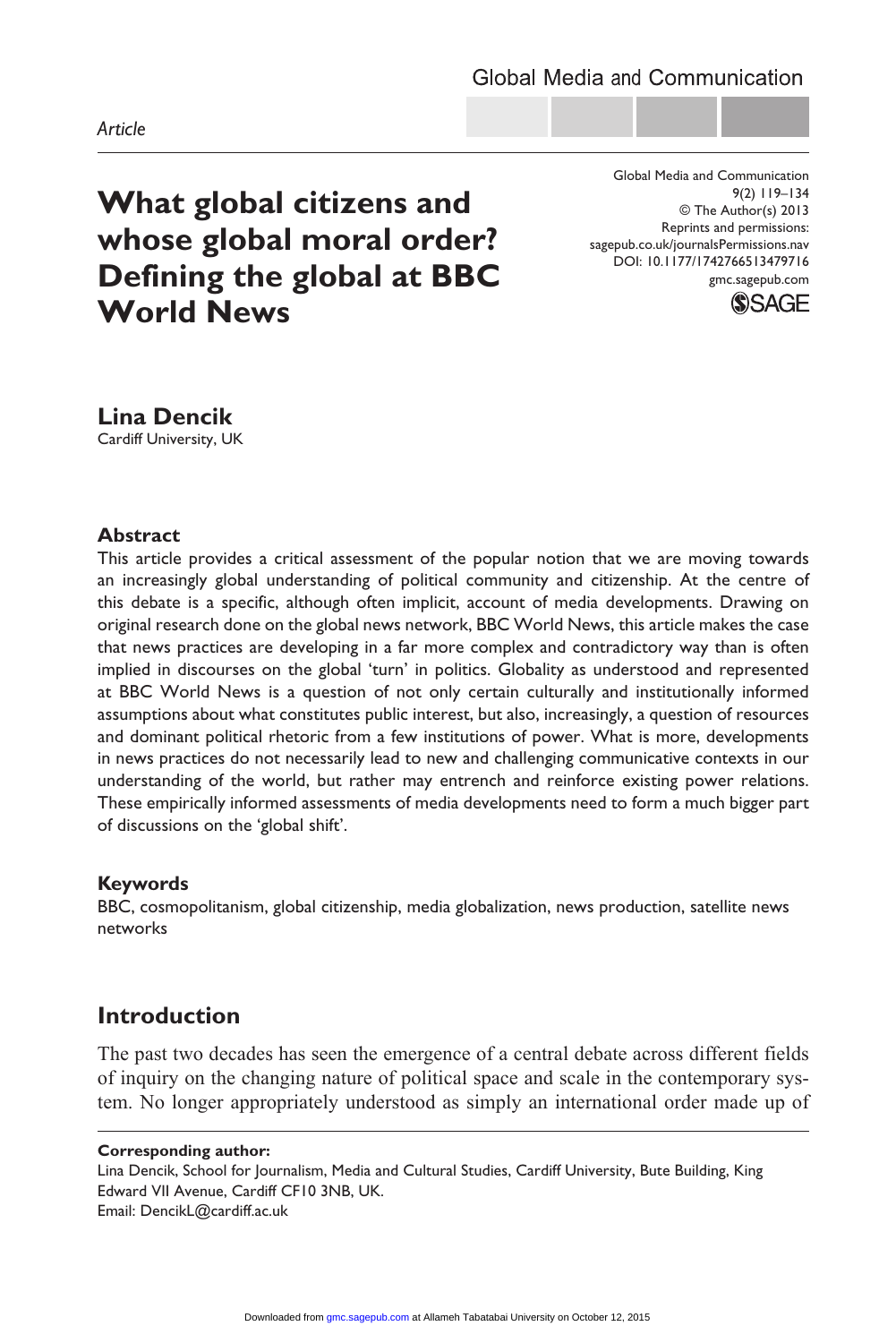# **What global citizens and whose global moral order? Defining the global at BBC World News**

Global Media and Communication 9(2) 119–134 © The Author(s) 2013 Reprints and permissions: sagepub.co.uk/journalsPermissions.nav DOI: 10.1177/1742766513479716 gmc.sagepub.com



**Lina Dencik** Cardiff University, UK

#### **Abstract**

This article provides a critical assessment of the popular notion that we are moving towards an increasingly global understanding of political community and citizenship. At the centre of this debate is a specific, although often implicit, account of media developments. Drawing on original research done on the global news network, BBC World News, this article makes the case that news practices are developing in a far more complex and contradictory way than is often implied in discourses on the global 'turn' in politics. Globality as understood and represented at BBC World News is a question of not only certain culturally and institutionally informed assumptions about what constitutes public interest, but also, increasingly, a question of resources and dominant political rhetoric from a few institutions of power. What is more, developments in news practices do not necessarily lead to new and challenging communicative contexts in our understanding of the world, but rather may entrench and reinforce existing power relations. These empirically informed assessments of media developments need to form a much bigger part of discussions on the 'global shift'.

## **Keywords**

BBC, cosmopolitanism, global citizenship, media globalization, news production, satellite news networks

## **Introduction**

The past two decades has seen the emergence of a central debate across different fields of inquiry on the changing nature of political space and scale in the contemporary system. No longer appropriately understood as simply an international order made up of

#### **Corresponding author:**

Lina Dencik, School for Journalism, Media and Cultural Studies, Cardiff University, Bute Building, King Edward VII Avenue, Cardiff CF10 3NB, UK. Email: DencikL@cardiff.ac.uk

#### *Article*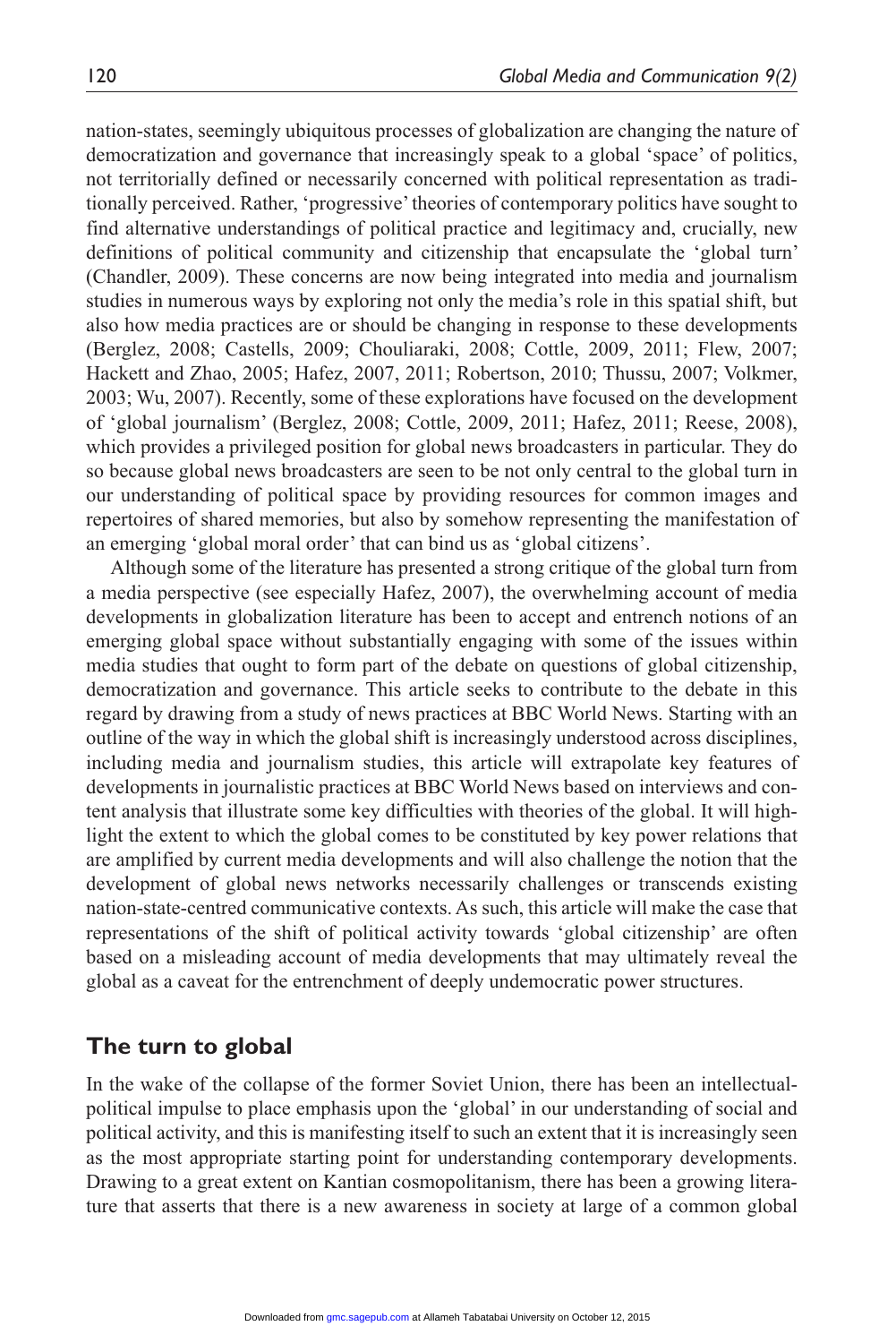nation-states, seemingly ubiquitous processes of globalization are changing the nature of democratization and governance that increasingly speak to a global 'space' of politics, not territorially defined or necessarily concerned with political representation as traditionally perceived. Rather, 'progressive' theories of contemporary politics have sought to find alternative understandings of political practice and legitimacy and, crucially, new definitions of political community and citizenship that encapsulate the 'global turn' (Chandler, 2009). These concerns are now being integrated into media and journalism studies in numerous ways by exploring not only the media's role in this spatial shift, but also how media practices are or should be changing in response to these developments (Berglez, 2008; Castells, 2009; Chouliaraki, 2008; Cottle, 2009, 2011; Flew, 2007; Hackett and Zhao, 2005; Hafez, 2007, 2011; Robertson, 2010; Thussu, 2007; Volkmer, 2003; Wu, 2007). Recently, some of these explorations have focused on the development of 'global journalism' (Berglez, 2008; Cottle, 2009, 2011; Hafez, 2011; Reese, 2008), which provides a privileged position for global news broadcasters in particular. They do so because global news broadcasters are seen to be not only central to the global turn in our understanding of political space by providing resources for common images and repertoires of shared memories, but also by somehow representing the manifestation of an emerging 'global moral order' that can bind us as 'global citizens'.

Although some of the literature has presented a strong critique of the global turn from a media perspective (see especially Hafez, 2007), the overwhelming account of media developments in globalization literature has been to accept and entrench notions of an emerging global space without substantially engaging with some of the issues within media studies that ought to form part of the debate on questions of global citizenship, democratization and governance. This article seeks to contribute to the debate in this regard by drawing from a study of news practices at BBC World News. Starting with an outline of the way in which the global shift is increasingly understood across disciplines, including media and journalism studies, this article will extrapolate key features of developments in journalistic practices at BBC World News based on interviews and content analysis that illustrate some key difficulties with theories of the global. It will highlight the extent to which the global comes to be constituted by key power relations that are amplified by current media developments and will also challenge the notion that the development of global news networks necessarily challenges or transcends existing nation-state-centred communicative contexts. As such, this article will make the case that representations of the shift of political activity towards 'global citizenship' are often based on a misleading account of media developments that may ultimately reveal the global as a caveat for the entrenchment of deeply undemocratic power structures.

## **The turn to global**

In the wake of the collapse of the former Soviet Union, there has been an intellectualpolitical impulse to place emphasis upon the 'global' in our understanding of social and political activity, and this is manifesting itself to such an extent that it is increasingly seen as the most appropriate starting point for understanding contemporary developments. Drawing to a great extent on Kantian cosmopolitanism, there has been a growing literature that asserts that there is a new awareness in society at large of a common global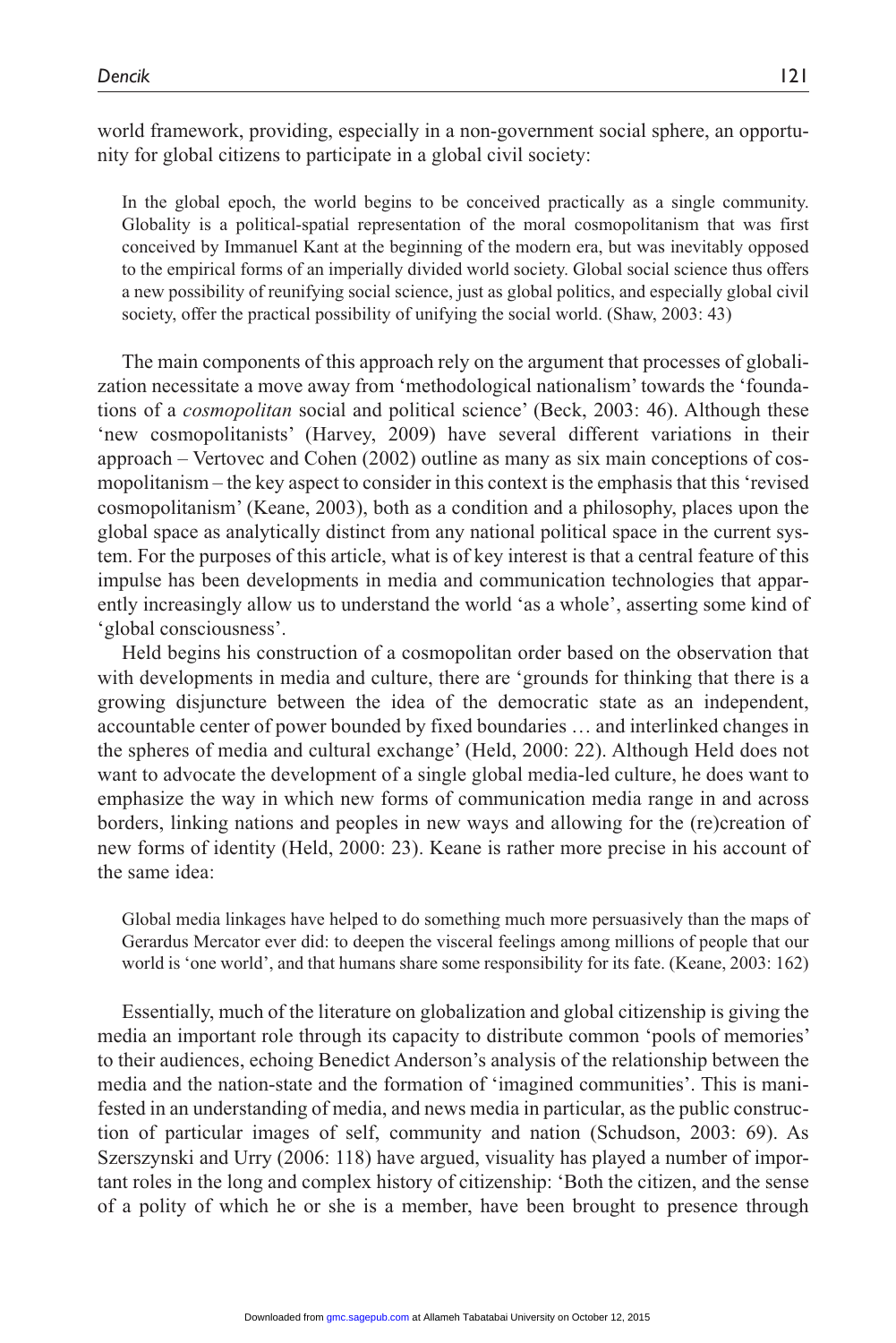world framework, providing, especially in a non-government social sphere, an opportunity for global citizens to participate in a global civil society:

In the global epoch, the world begins to be conceived practically as a single community. Globality is a political-spatial representation of the moral cosmopolitanism that was first conceived by Immanuel Kant at the beginning of the modern era, but was inevitably opposed to the empirical forms of an imperially divided world society. Global social science thus offers a new possibility of reunifying social science, just as global politics, and especially global civil society, offer the practical possibility of unifying the social world. (Shaw, 2003: 43)

The main components of this approach rely on the argument that processes of globalization necessitate a move away from 'methodological nationalism' towards the 'foundations of a *cosmopolitan* social and political science' (Beck, 2003: 46). Although these 'new cosmopolitanists' (Harvey, 2009) have several different variations in their approach – Vertovec and Cohen (2002) outline as many as six main conceptions of cosmopolitanism – the key aspect to consider in this context is the emphasis that this 'revised cosmopolitanism' (Keane, 2003), both as a condition and a philosophy, places upon the global space as analytically distinct from any national political space in the current system. For the purposes of this article, what is of key interest is that a central feature of this impulse has been developments in media and communication technologies that apparently increasingly allow us to understand the world 'as a whole', asserting some kind of 'global consciousness'.

Held begins his construction of a cosmopolitan order based on the observation that with developments in media and culture, there are 'grounds for thinking that there is a growing disjuncture between the idea of the democratic state as an independent, accountable center of power bounded by fixed boundaries … and interlinked changes in the spheres of media and cultural exchange' (Held, 2000: 22). Although Held does not want to advocate the development of a single global media-led culture, he does want to emphasize the way in which new forms of communication media range in and across borders, linking nations and peoples in new ways and allowing for the (re)creation of new forms of identity (Held, 2000: 23). Keane is rather more precise in his account of the same idea:

Global media linkages have helped to do something much more persuasively than the maps of Gerardus Mercator ever did: to deepen the visceral feelings among millions of people that our world is 'one world', and that humans share some responsibility for its fate. (Keane, 2003: 162)

Essentially, much of the literature on globalization and global citizenship is giving the media an important role through its capacity to distribute common 'pools of memories' to their audiences, echoing Benedict Anderson's analysis of the relationship between the media and the nation-state and the formation of 'imagined communities'. This is manifested in an understanding of media, and news media in particular, as the public construction of particular images of self, community and nation (Schudson, 2003: 69). As Szerszynski and Urry (2006: 118) have argued, visuality has played a number of important roles in the long and complex history of citizenship: 'Both the citizen, and the sense of a polity of which he or she is a member, have been brought to presence through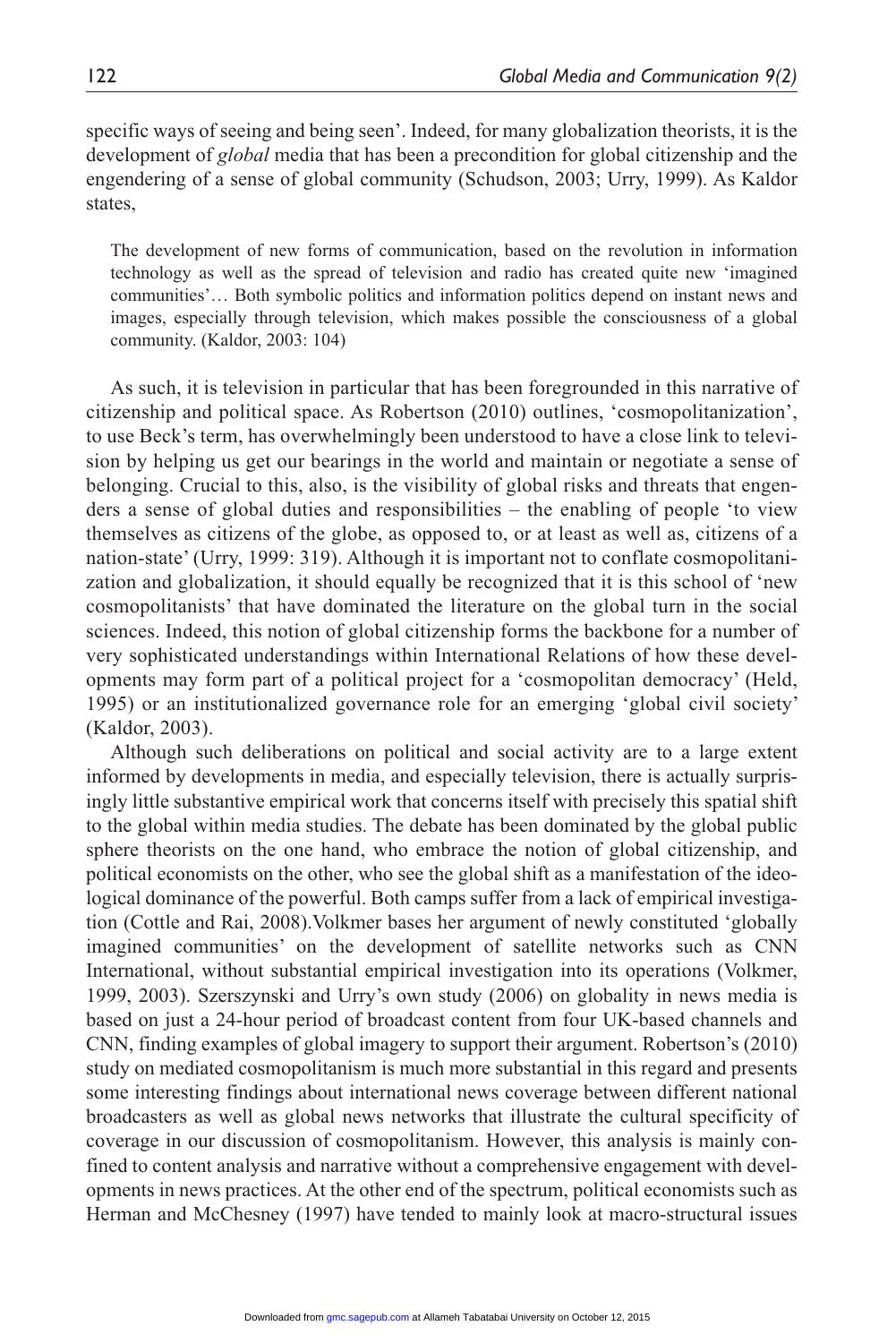specific ways of seeing and being seen'. Indeed, for many globalization theorists, it is the development of *global* media that has been a precondition for global citizenship and the engendering of a sense of global community (Schudson, 2003; Urry, 1999). As Kaldor states,

The development of new forms of communication, based on the revolution in information technology as well as the spread of television and radio has created quite new 'imagined communities'… Both symbolic politics and information politics depend on instant news and images, especially through television, which makes possible the consciousness of a global community. (Kaldor, 2003: 104)

As such, it is television in particular that has been foregrounded in this narrative of citizenship and political space. As Robertson (2010) outlines, 'cosmopolitanization', to use Beck's term, has overwhelmingly been understood to have a close link to television by helping us get our bearings in the world and maintain or negotiate a sense of belonging. Crucial to this, also, is the visibility of global risks and threats that engenders a sense of global duties and responsibilities – the enabling of people 'to view themselves as citizens of the globe, as opposed to, or at least as well as, citizens of a nation-state' (Urry, 1999: 319). Although it is important not to conflate cosmopolitanization and globalization, it should equally be recognized that it is this school of 'new cosmopolitanists' that have dominated the literature on the global turn in the social sciences. Indeed, this notion of global citizenship forms the backbone for a number of very sophisticated understandings within International Relations of how these developments may form part of a political project for a 'cosmopolitan democracy' (Held, 1995) or an institutionalized governance role for an emerging 'global civil society' (Kaldor, 2003).

Although such deliberations on political and social activity are to a large extent informed by developments in media, and especially television, there is actually surprisingly little substantive empirical work that concerns itself with precisely this spatial shift to the global within media studies. The debate has been dominated by the global public sphere theorists on the one hand, who embrace the notion of global citizenship, and political economists on the other, who see the global shift as a manifestation of the ideological dominance of the powerful. Both camps suffer from a lack of empirical investigation (Cottle and Rai, 2008).Volkmer bases her argument of newly constituted 'globally imagined communities' on the development of satellite networks such as CNN International, without substantial empirical investigation into its operations (Volkmer, 1999, 2003). Szerszynski and Urry's own study (2006) on globality in news media is based on just a 24-hour period of broadcast content from four UK-based channels and CNN, finding examples of global imagery to support their argument. Robertson's (2010) study on mediated cosmopolitanism is much more substantial in this regard and presents some interesting findings about international news coverage between different national broadcasters as well as global news networks that illustrate the cultural specificity of coverage in our discussion of cosmopolitanism. However, this analysis is mainly confined to content analysis and narrative without a comprehensive engagement with developments in news practices. At the other end of the spectrum, political economists such as Herman and McChesney (1997) have tended to mainly look at macro-structural issues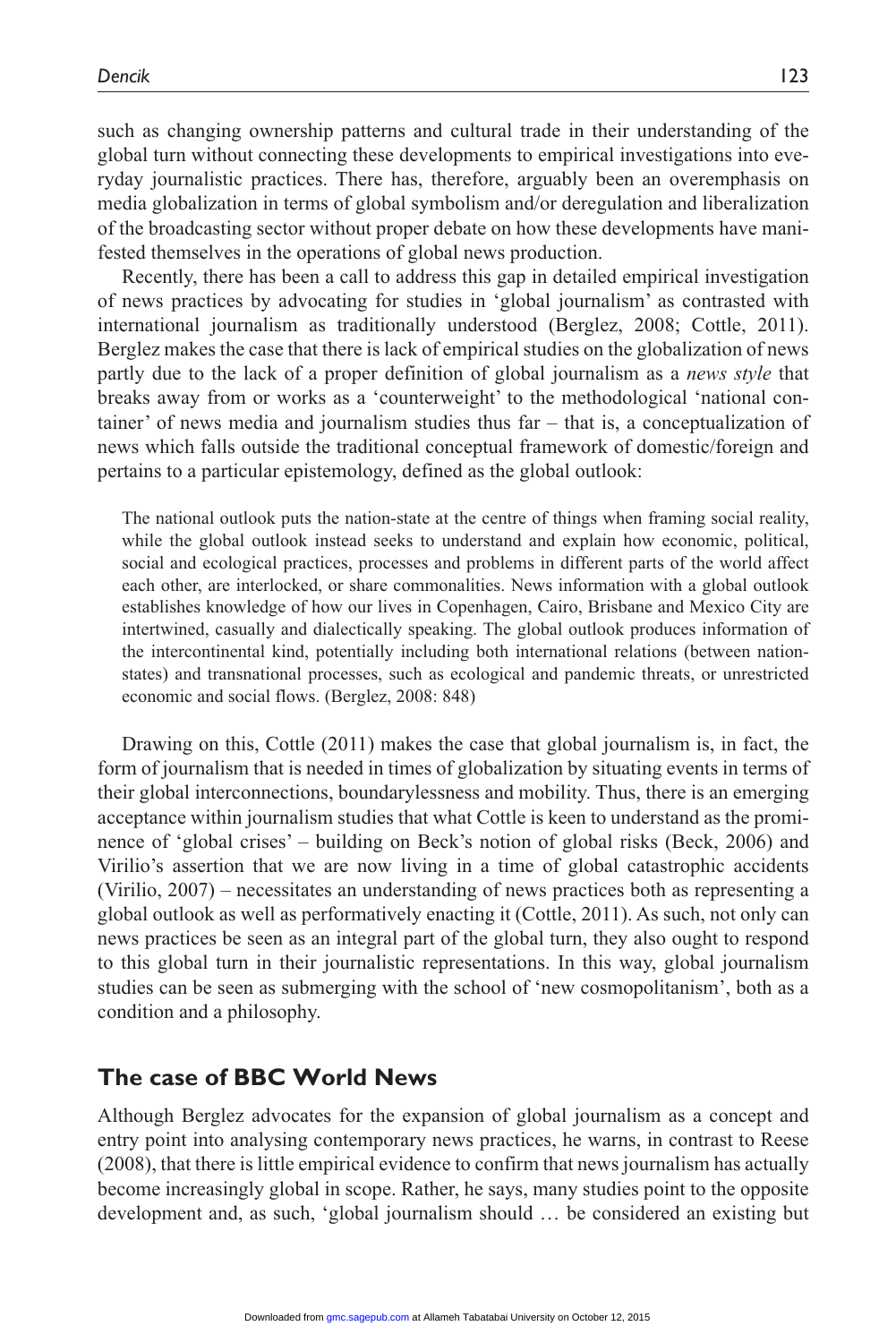such as changing ownership patterns and cultural trade in their understanding of the global turn without connecting these developments to empirical investigations into everyday journalistic practices. There has, therefore, arguably been an overemphasis on media globalization in terms of global symbolism and/or deregulation and liberalization of the broadcasting sector without proper debate on how these developments have manifested themselves in the operations of global news production.

Recently, there has been a call to address this gap in detailed empirical investigation of news practices by advocating for studies in 'global journalism' as contrasted with international journalism as traditionally understood (Berglez, 2008; Cottle, 2011). Berglez makes the case that there is lack of empirical studies on the globalization of news partly due to the lack of a proper definition of global journalism as a *news style* that breaks away from or works as a 'counterweight' to the methodological 'national container' of news media and journalism studies thus far – that is, a conceptualization of news which falls outside the traditional conceptual framework of domestic/foreign and pertains to a particular epistemology, defined as the global outlook:

The national outlook puts the nation-state at the centre of things when framing social reality, while the global outlook instead seeks to understand and explain how economic, political, social and ecological practices, processes and problems in different parts of the world affect each other, are interlocked, or share commonalities. News information with a global outlook establishes knowledge of how our lives in Copenhagen, Cairo, Brisbane and Mexico City are intertwined, casually and dialectically speaking. The global outlook produces information of the intercontinental kind, potentially including both international relations (between nationstates) and transnational processes, such as ecological and pandemic threats, or unrestricted economic and social flows. (Berglez, 2008: 848)

Drawing on this, Cottle (2011) makes the case that global journalism is, in fact, the form of journalism that is needed in times of globalization by situating events in terms of their global interconnections, boundarylessness and mobility. Thus, there is an emerging acceptance within journalism studies that what Cottle is keen to understand as the prominence of 'global crises' – building on Beck's notion of global risks (Beck, 2006) and Virilio's assertion that we are now living in a time of global catastrophic accidents (Virilio, 2007) – necessitates an understanding of news practices both as representing a global outlook as well as performatively enacting it (Cottle, 2011). As such, not only can news practices be seen as an integral part of the global turn, they also ought to respond to this global turn in their journalistic representations. In this way, global journalism studies can be seen as submerging with the school of 'new cosmopolitanism', both as a condition and a philosophy.

## **The case of BBC World News**

Although Berglez advocates for the expansion of global journalism as a concept and entry point into analysing contemporary news practices, he warns, in contrast to Reese (2008), that there is little empirical evidence to confirm that news journalism has actually become increasingly global in scope. Rather, he says, many studies point to the opposite development and, as such, 'global journalism should … be considered an existing but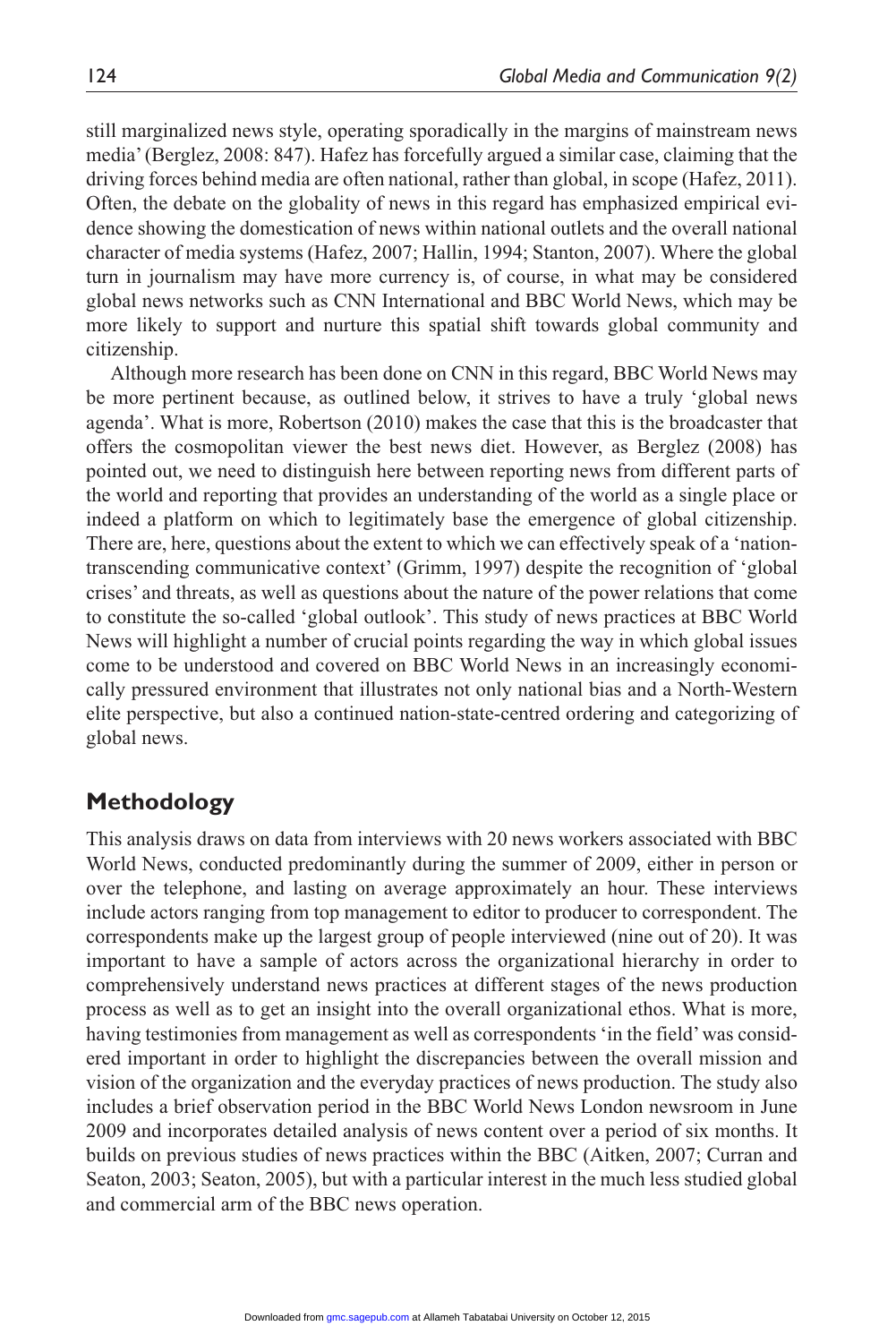still marginalized news style, operating sporadically in the margins of mainstream news media' (Berglez, 2008: 847). Hafez has forcefully argued a similar case, claiming that the driving forces behind media are often national, rather than global, in scope (Hafez, 2011). Often, the debate on the globality of news in this regard has emphasized empirical evidence showing the domestication of news within national outlets and the overall national character of media systems (Hafez, 2007; Hallin, 1994; Stanton, 2007). Where the global turn in journalism may have more currency is, of course, in what may be considered global news networks such as CNN International and BBC World News, which may be more likely to support and nurture this spatial shift towards global community and citizenship.

Although more research has been done on CNN in this regard, BBC World News may be more pertinent because, as outlined below, it strives to have a truly 'global news agenda'. What is more, Robertson (2010) makes the case that this is the broadcaster that offers the cosmopolitan viewer the best news diet. However, as Berglez (2008) has pointed out, we need to distinguish here between reporting news from different parts of the world and reporting that provides an understanding of the world as a single place or indeed a platform on which to legitimately base the emergence of global citizenship. There are, here, questions about the extent to which we can effectively speak of a 'nationtranscending communicative context' (Grimm, 1997) despite the recognition of 'global crises' and threats, as well as questions about the nature of the power relations that come to constitute the so-called 'global outlook'. This study of news practices at BBC World News will highlight a number of crucial points regarding the way in which global issues come to be understood and covered on BBC World News in an increasingly economically pressured environment that illustrates not only national bias and a North-Western elite perspective, but also a continued nation-state-centred ordering and categorizing of global news.

## **Methodology**

This analysis draws on data from interviews with 20 news workers associated with BBC World News, conducted predominantly during the summer of 2009, either in person or over the telephone, and lasting on average approximately an hour. These interviews include actors ranging from top management to editor to producer to correspondent. The correspondents make up the largest group of people interviewed (nine out of 20). It was important to have a sample of actors across the organizational hierarchy in order to comprehensively understand news practices at different stages of the news production process as well as to get an insight into the overall organizational ethos. What is more, having testimonies from management as well as correspondents 'in the field' was considered important in order to highlight the discrepancies between the overall mission and vision of the organization and the everyday practices of news production. The study also includes a brief observation period in the BBC World News London newsroom in June 2009 and incorporates detailed analysis of news content over a period of six months. It builds on previous studies of news practices within the BBC (Aitken, 2007; Curran and Seaton, 2003; Seaton, 2005), but with a particular interest in the much less studied global and commercial arm of the BBC news operation.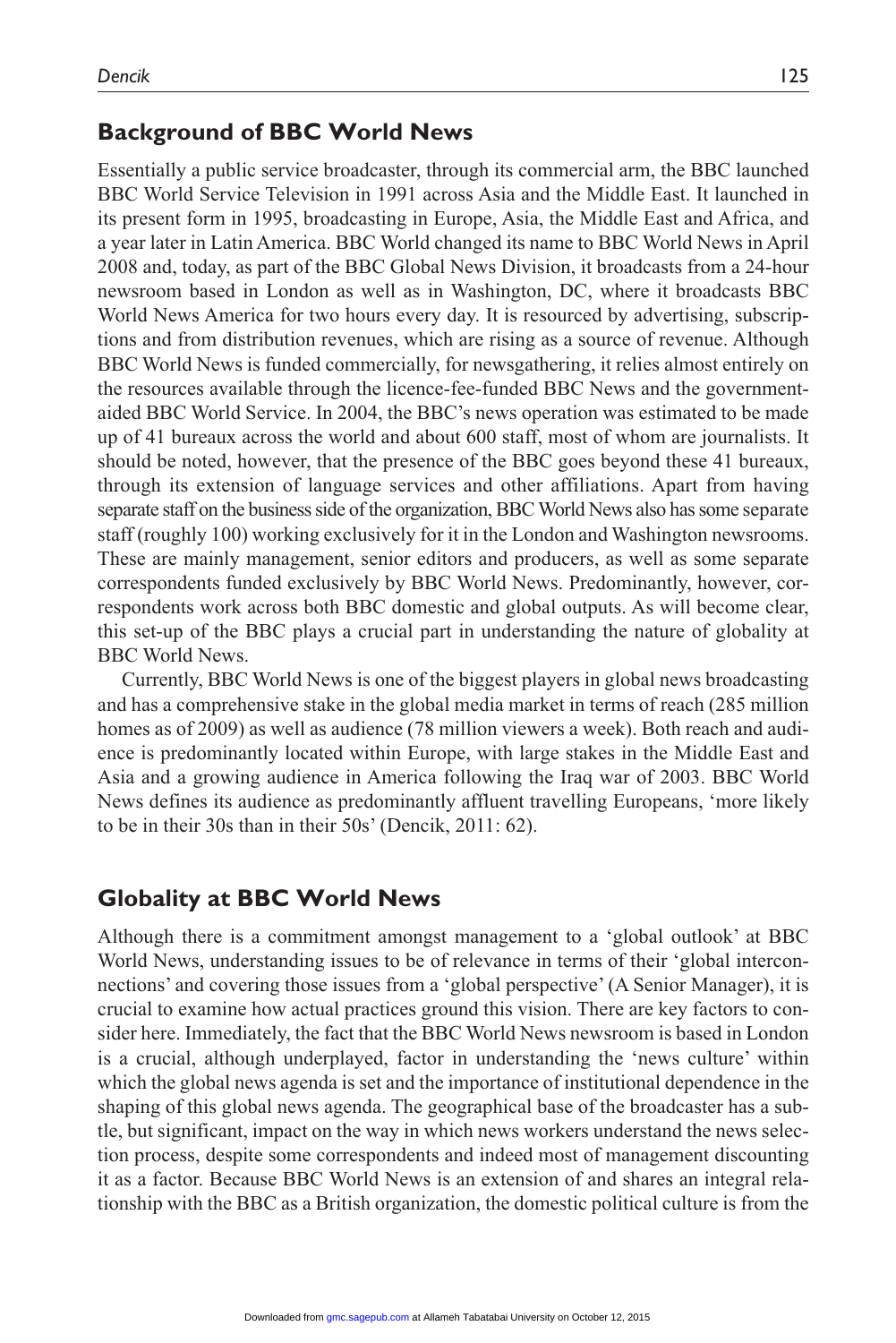#### **Background of BBC World News**

Essentially a public service broadcaster, through its commercial arm, the BBC launched BBC World Service Television in 1991 across Asia and the Middle East. It launched in its present form in 1995, broadcasting in Europe, Asia, the Middle East and Africa, and a year later in Latin America. BBC World changed its name to BBC World News in April 2008 and, today, as part of the BBC Global News Division, it broadcasts from a 24-hour newsroom based in London as well as in Washington, DC, where it broadcasts BBC World News America for two hours every day. It is resourced by advertising, subscriptions and from distribution revenues, which are rising as a source of revenue. Although BBC World News is funded commercially, for newsgathering, it relies almost entirely on the resources available through the licence-fee-funded BBC News and the governmentaided BBC World Service. In 2004, the BBC's news operation was estimated to be made up of 41 bureaux across the world and about 600 staff, most of whom are journalists. It should be noted, however, that the presence of the BBC goes beyond these 41 bureaux, through its extension of language services and other affiliations. Apart from having separate staff on the business side of the organization, BBC World News also has some separate staff (roughly 100) working exclusively for it in the London and Washington newsrooms. These are mainly management, senior editors and producers, as well as some separate correspondents funded exclusively by BBC World News. Predominantly, however, correspondents work across both BBC domestic and global outputs. As will become clear, this set-up of the BBC plays a crucial part in understanding the nature of globality at BBC World News.

Currently, BBC World News is one of the biggest players in global news broadcasting and has a comprehensive stake in the global media market in terms of reach (285 million homes as of 2009) as well as audience (78 million viewers a week). Both reach and audience is predominantly located within Europe, with large stakes in the Middle East and Asia and a growing audience in America following the Iraq war of 2003. BBC World News defines its audience as predominantly affluent travelling Europeans, 'more likely to be in their 30s than in their 50s' (Dencik, 2011: 62).

## **Globality at BBC World News**

Although there is a commitment amongst management to a 'global outlook' at BBC World News, understanding issues to be of relevance in terms of their 'global interconnections' and covering those issues from a 'global perspective' (A Senior Manager), it is crucial to examine how actual practices ground this vision. There are key factors to consider here. Immediately, the fact that the BBC World News newsroom is based in London is a crucial, although underplayed, factor in understanding the 'news culture' within which the global news agenda is set and the importance of institutional dependence in the shaping of this global news agenda. The geographical base of the broadcaster has a subtle, but significant, impact on the way in which news workers understand the news selection process, despite some correspondents and indeed most of management discounting it as a factor. Because BBC World News is an extension of and shares an integral relationship with the BBC as a British organization, the domestic political culture is from the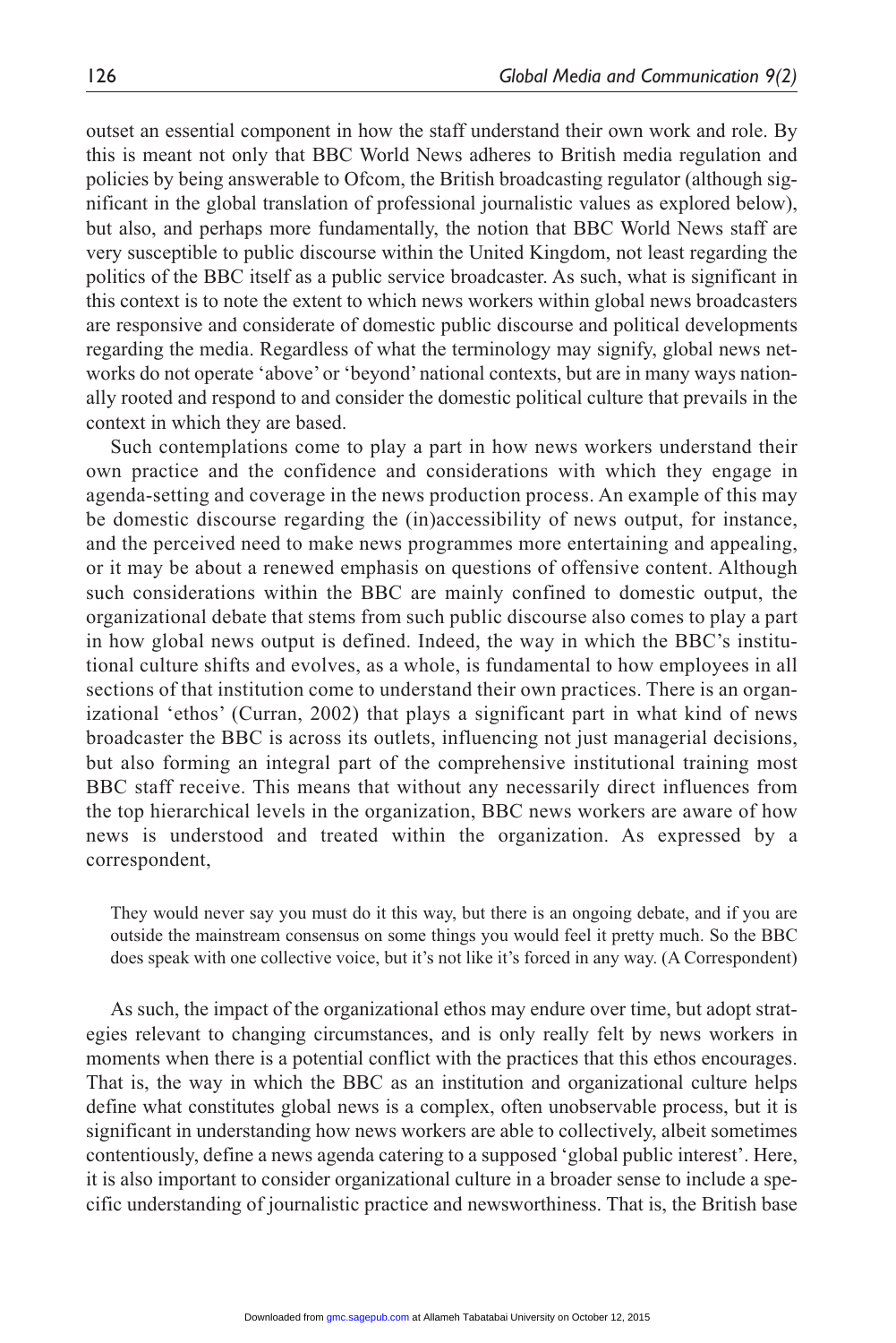outset an essential component in how the staff understand their own work and role. By this is meant not only that BBC World News adheres to British media regulation and policies by being answerable to Ofcom, the British broadcasting regulator (although significant in the global translation of professional journalistic values as explored below), but also, and perhaps more fundamentally, the notion that BBC World News staff are very susceptible to public discourse within the United Kingdom, not least regarding the politics of the BBC itself as a public service broadcaster. As such, what is significant in this context is to note the extent to which news workers within global news broadcasters are responsive and considerate of domestic public discourse and political developments regarding the media. Regardless of what the terminology may signify, global news networks do not operate 'above' or 'beyond' national contexts, but are in many ways nationally rooted and respond to and consider the domestic political culture that prevails in the context in which they are based.

Such contemplations come to play a part in how news workers understand their own practice and the confidence and considerations with which they engage in agenda-setting and coverage in the news production process. An example of this may be domestic discourse regarding the (in)accessibility of news output, for instance, and the perceived need to make news programmes more entertaining and appealing, or it may be about a renewed emphasis on questions of offensive content. Although such considerations within the BBC are mainly confined to domestic output, the organizational debate that stems from such public discourse also comes to play a part in how global news output is defined. Indeed, the way in which the BBC's institutional culture shifts and evolves, as a whole, is fundamental to how employees in all sections of that institution come to understand their own practices. There is an organizational 'ethos' (Curran, 2002) that plays a significant part in what kind of news broadcaster the BBC is across its outlets, influencing not just managerial decisions, but also forming an integral part of the comprehensive institutional training most BBC staff receive. This means that without any necessarily direct influences from the top hierarchical levels in the organization, BBC news workers are aware of how news is understood and treated within the organization. As expressed by a correspondent,

They would never say you must do it this way, but there is an ongoing debate, and if you are outside the mainstream consensus on some things you would feel it pretty much. So the BBC does speak with one collective voice, but it's not like it's forced in any way. (A Correspondent)

As such, the impact of the organizational ethos may endure over time, but adopt strategies relevant to changing circumstances, and is only really felt by news workers in moments when there is a potential conflict with the practices that this ethos encourages. That is, the way in which the BBC as an institution and organizational culture helps define what constitutes global news is a complex, often unobservable process, but it is significant in understanding how news workers are able to collectively, albeit sometimes contentiously, define a news agenda catering to a supposed 'global public interest'. Here, it is also important to consider organizational culture in a broader sense to include a specific understanding of journalistic practice and newsworthiness. That is, the British base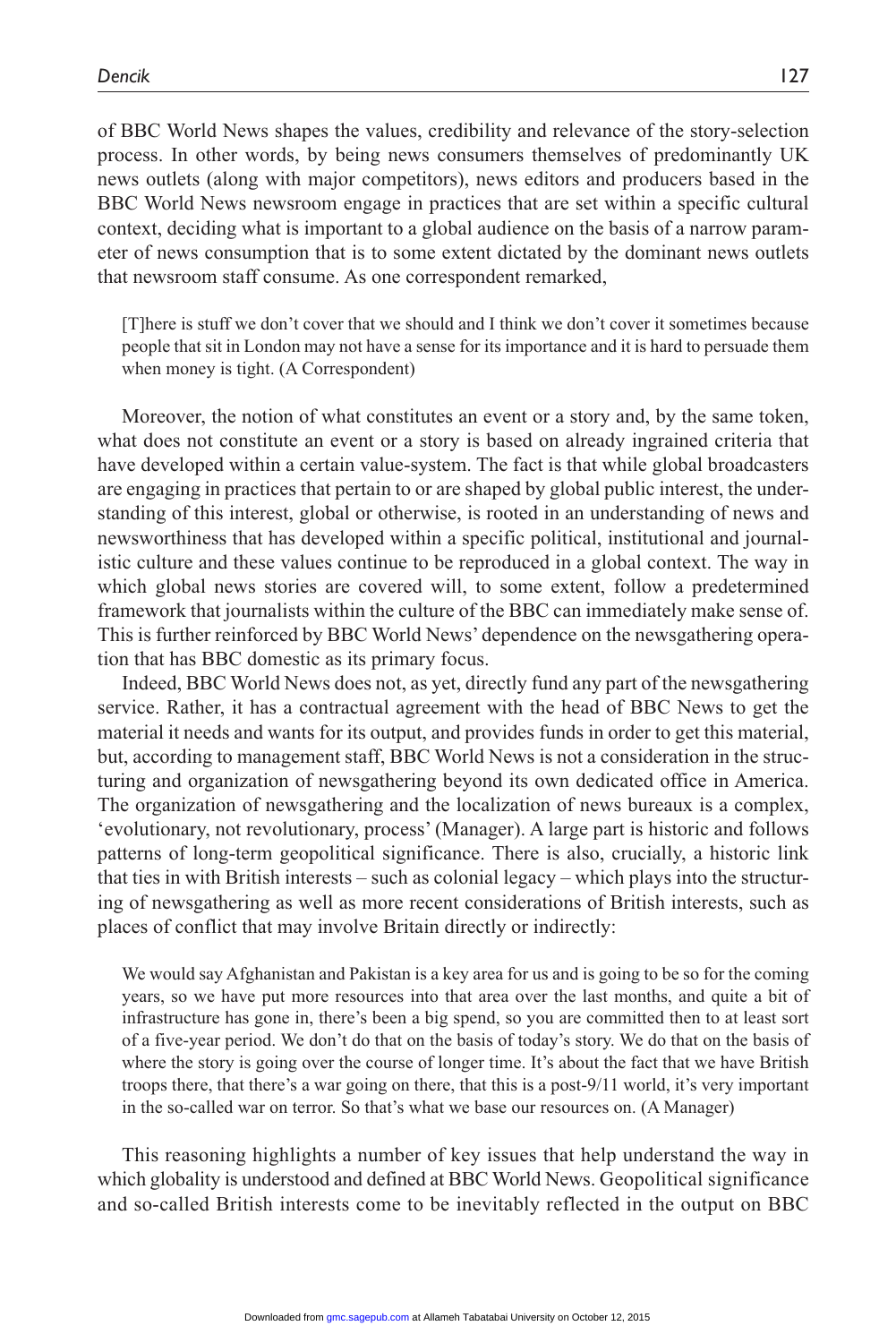of BBC World News shapes the values, credibility and relevance of the story-selection process. In other words, by being news consumers themselves of predominantly UK news outlets (along with major competitors), news editors and producers based in the BBC World News newsroom engage in practices that are set within a specific cultural context, deciding what is important to a global audience on the basis of a narrow parameter of news consumption that is to some extent dictated by the dominant news outlets that newsroom staff consume. As one correspondent remarked,

[T]here is stuff we don't cover that we should and I think we don't cover it sometimes because people that sit in London may not have a sense for its importance and it is hard to persuade them when money is tight. (A Correspondent)

Moreover, the notion of what constitutes an event or a story and, by the same token, what does not constitute an event or a story is based on already ingrained criteria that have developed within a certain value-system. The fact is that while global broadcasters are engaging in practices that pertain to or are shaped by global public interest, the understanding of this interest, global or otherwise, is rooted in an understanding of news and newsworthiness that has developed within a specific political, institutional and journalistic culture and these values continue to be reproduced in a global context. The way in which global news stories are covered will, to some extent, follow a predetermined framework that journalists within the culture of the BBC can immediately make sense of. This is further reinforced by BBC World News' dependence on the newsgathering operation that has BBC domestic as its primary focus.

Indeed, BBC World News does not, as yet, directly fund any part of the newsgathering service. Rather, it has a contractual agreement with the head of BBC News to get the material it needs and wants for its output, and provides funds in order to get this material, but, according to management staff, BBC World News is not a consideration in the structuring and organization of newsgathering beyond its own dedicated office in America. The organization of newsgathering and the localization of news bureaux is a complex, 'evolutionary, not revolutionary, process' (Manager). A large part is historic and follows patterns of long-term geopolitical significance. There is also, crucially, a historic link that ties in with British interests – such as colonial legacy – which plays into the structuring of newsgathering as well as more recent considerations of British interests, such as places of conflict that may involve Britain directly or indirectly:

We would say Afghanistan and Pakistan is a key area for us and is going to be so for the coming years, so we have put more resources into that area over the last months, and quite a bit of infrastructure has gone in, there's been a big spend, so you are committed then to at least sort of a five-year period. We don't do that on the basis of today's story. We do that on the basis of where the story is going over the course of longer time. It's about the fact that we have British troops there, that there's a war going on there, that this is a post-9/11 world, it's very important in the so-called war on terror. So that's what we base our resources on. (A Manager)

This reasoning highlights a number of key issues that help understand the way in which globality is understood and defined at BBC World News. Geopolitical significance and so-called British interests come to be inevitably reflected in the output on BBC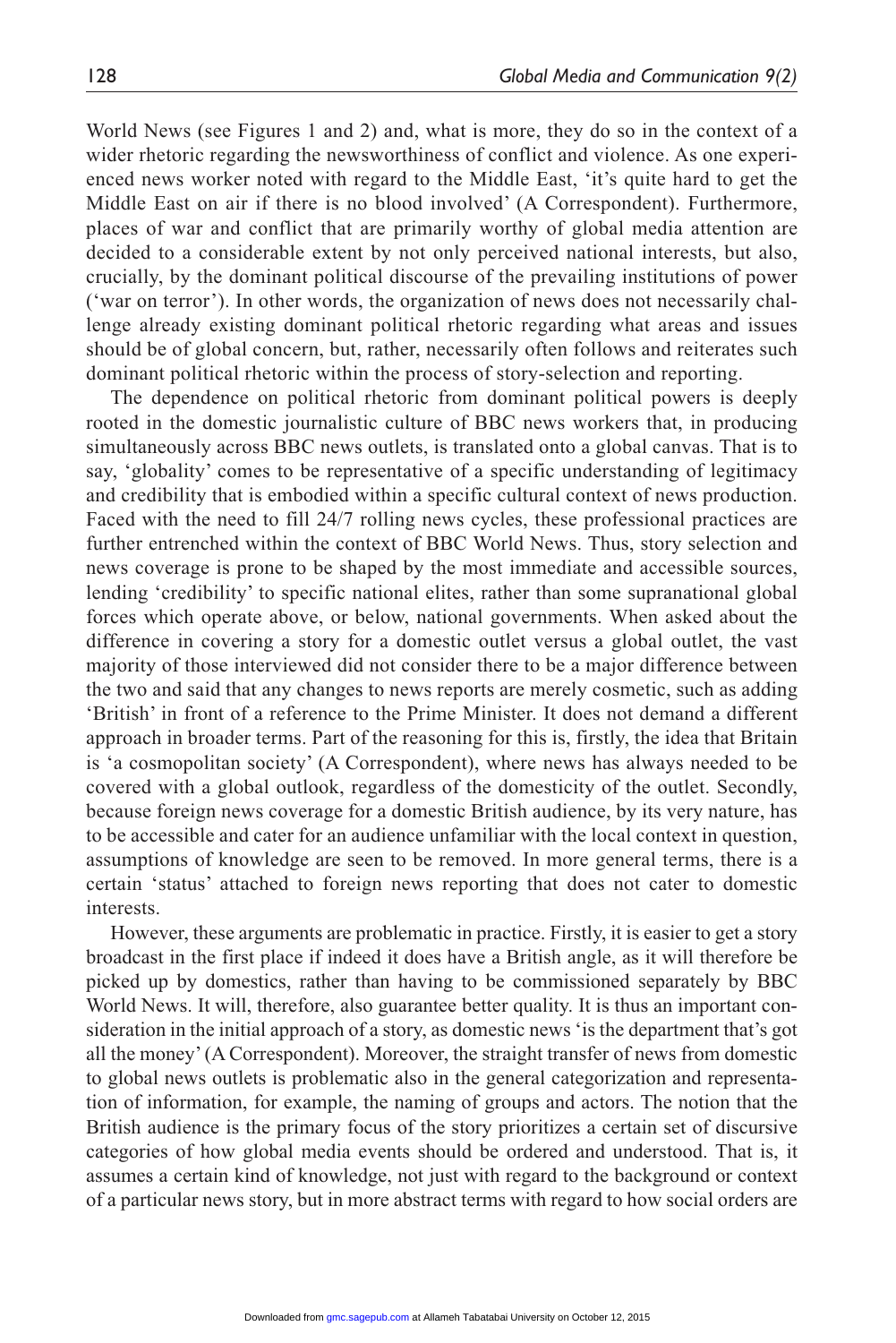World News (see Figures 1 and 2) and, what is more, they do so in the context of a wider rhetoric regarding the newsworthiness of conflict and violence. As one experienced news worker noted with regard to the Middle East, 'it's quite hard to get the Middle East on air if there is no blood involved' (A Correspondent). Furthermore, places of war and conflict that are primarily worthy of global media attention are decided to a considerable extent by not only perceived national interests, but also, crucially, by the dominant political discourse of the prevailing institutions of power ('war on terror'). In other words, the organization of news does not necessarily challenge already existing dominant political rhetoric regarding what areas and issues should be of global concern, but, rather, necessarily often follows and reiterates such dominant political rhetoric within the process of story-selection and reporting.

The dependence on political rhetoric from dominant political powers is deeply rooted in the domestic journalistic culture of BBC news workers that, in producing simultaneously across BBC news outlets, is translated onto a global canvas. That is to say, 'globality' comes to be representative of a specific understanding of legitimacy and credibility that is embodied within a specific cultural context of news production. Faced with the need to fill 24/7 rolling news cycles, these professional practices are further entrenched within the context of BBC World News. Thus, story selection and news coverage is prone to be shaped by the most immediate and accessible sources, lending 'credibility' to specific national elites, rather than some supranational global forces which operate above, or below, national governments. When asked about the difference in covering a story for a domestic outlet versus a global outlet, the vast majority of those interviewed did not consider there to be a major difference between the two and said that any changes to news reports are merely cosmetic, such as adding 'British' in front of a reference to the Prime Minister. It does not demand a different approach in broader terms. Part of the reasoning for this is, firstly, the idea that Britain is 'a cosmopolitan society' (A Correspondent), where news has always needed to be covered with a global outlook, regardless of the domesticity of the outlet. Secondly, because foreign news coverage for a domestic British audience, by its very nature, has to be accessible and cater for an audience unfamiliar with the local context in question, assumptions of knowledge are seen to be removed. In more general terms, there is a certain 'status' attached to foreign news reporting that does not cater to domestic interests.

However, these arguments are problematic in practice. Firstly, it is easier to get a story broadcast in the first place if indeed it does have a British angle, as it will therefore be picked up by domestics, rather than having to be commissioned separately by BBC World News. It will, therefore, also guarantee better quality. It is thus an important consideration in the initial approach of a story, as domestic news 'is the department that's got all the money' (A Correspondent). Moreover, the straight transfer of news from domestic to global news outlets is problematic also in the general categorization and representation of information, for example, the naming of groups and actors. The notion that the British audience is the primary focus of the story prioritizes a certain set of discursive categories of how global media events should be ordered and understood. That is, it assumes a certain kind of knowledge, not just with regard to the background or context of a particular news story, but in more abstract terms with regard to how social orders are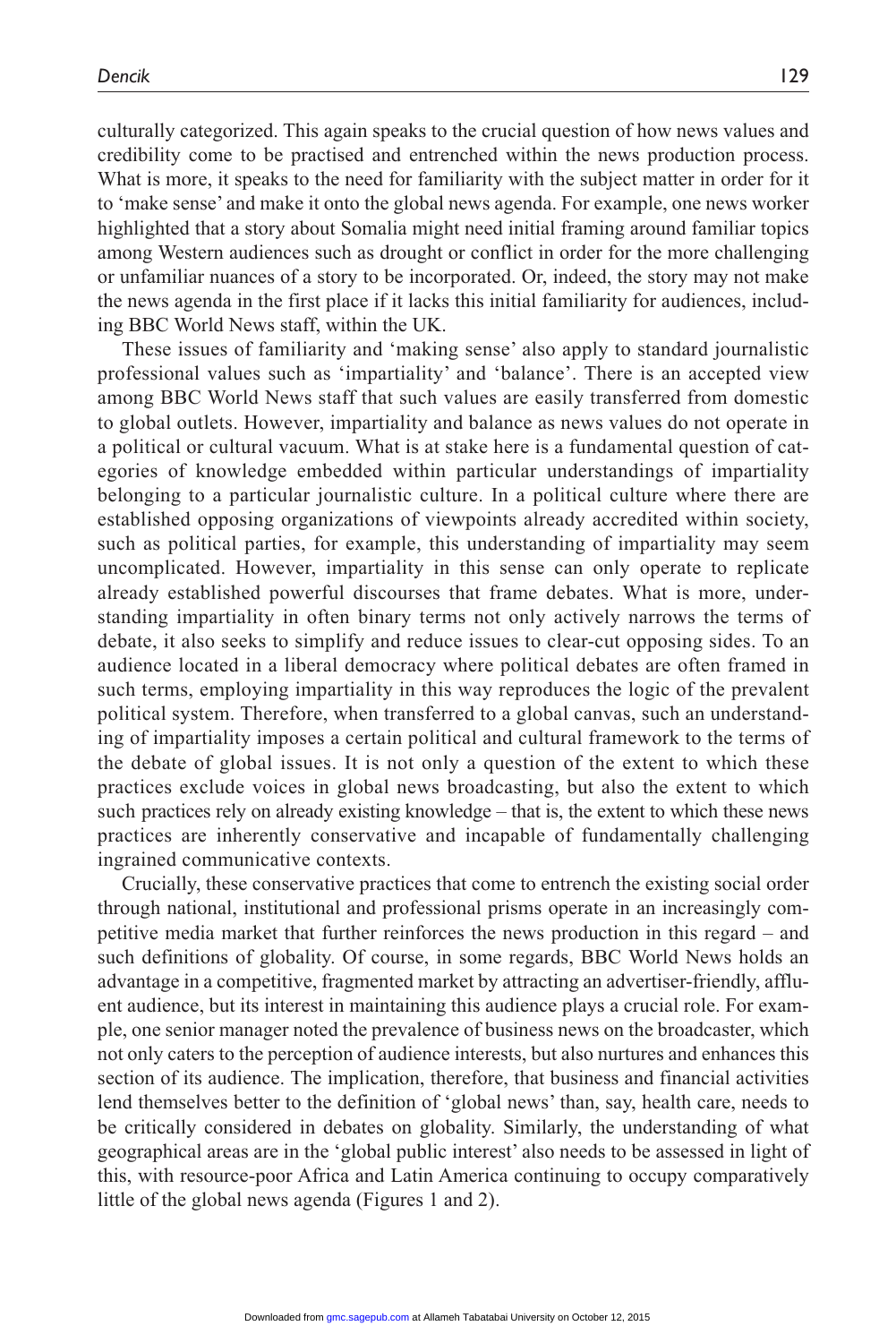culturally categorized. This again speaks to the crucial question of how news values and credibility come to be practised and entrenched within the news production process. What is more, it speaks to the need for familiarity with the subject matter in order for it to 'make sense' and make it onto the global news agenda. For example, one news worker highlighted that a story about Somalia might need initial framing around familiar topics among Western audiences such as drought or conflict in order for the more challenging or unfamiliar nuances of a story to be incorporated. Or, indeed, the story may not make the news agenda in the first place if it lacks this initial familiarity for audiences, including BBC World News staff, within the UK.

These issues of familiarity and 'making sense' also apply to standard journalistic professional values such as 'impartiality' and 'balance'. There is an accepted view among BBC World News staff that such values are easily transferred from domestic to global outlets. However, impartiality and balance as news values do not operate in a political or cultural vacuum. What is at stake here is a fundamental question of categories of knowledge embedded within particular understandings of impartiality belonging to a particular journalistic culture. In a political culture where there are established opposing organizations of viewpoints already accredited within society, such as political parties, for example, this understanding of impartiality may seem uncomplicated. However, impartiality in this sense can only operate to replicate already established powerful discourses that frame debates. What is more, understanding impartiality in often binary terms not only actively narrows the terms of debate, it also seeks to simplify and reduce issues to clear-cut opposing sides. To an audience located in a liberal democracy where political debates are often framed in such terms, employing impartiality in this way reproduces the logic of the prevalent political system. Therefore, when transferred to a global canvas, such an understanding of impartiality imposes a certain political and cultural framework to the terms of the debate of global issues. It is not only a question of the extent to which these practices exclude voices in global news broadcasting, but also the extent to which such practices rely on already existing knowledge – that is, the extent to which these news practices are inherently conservative and incapable of fundamentally challenging ingrained communicative contexts.

Crucially, these conservative practices that come to entrench the existing social order through national, institutional and professional prisms operate in an increasingly competitive media market that further reinforces the news production in this regard – and such definitions of globality. Of course, in some regards, BBC World News holds an advantage in a competitive, fragmented market by attracting an advertiser-friendly, affluent audience, but its interest in maintaining this audience plays a crucial role. For example, one senior manager noted the prevalence of business news on the broadcaster, which not only caters to the perception of audience interests, but also nurtures and enhances this section of its audience. The implication, therefore, that business and financial activities lend themselves better to the definition of 'global news' than, say, health care, needs to be critically considered in debates on globality. Similarly, the understanding of what geographical areas are in the 'global public interest' also needs to be assessed in light of this, with resource-poor Africa and Latin America continuing to occupy comparatively little of the global news agenda (Figures 1 and 2).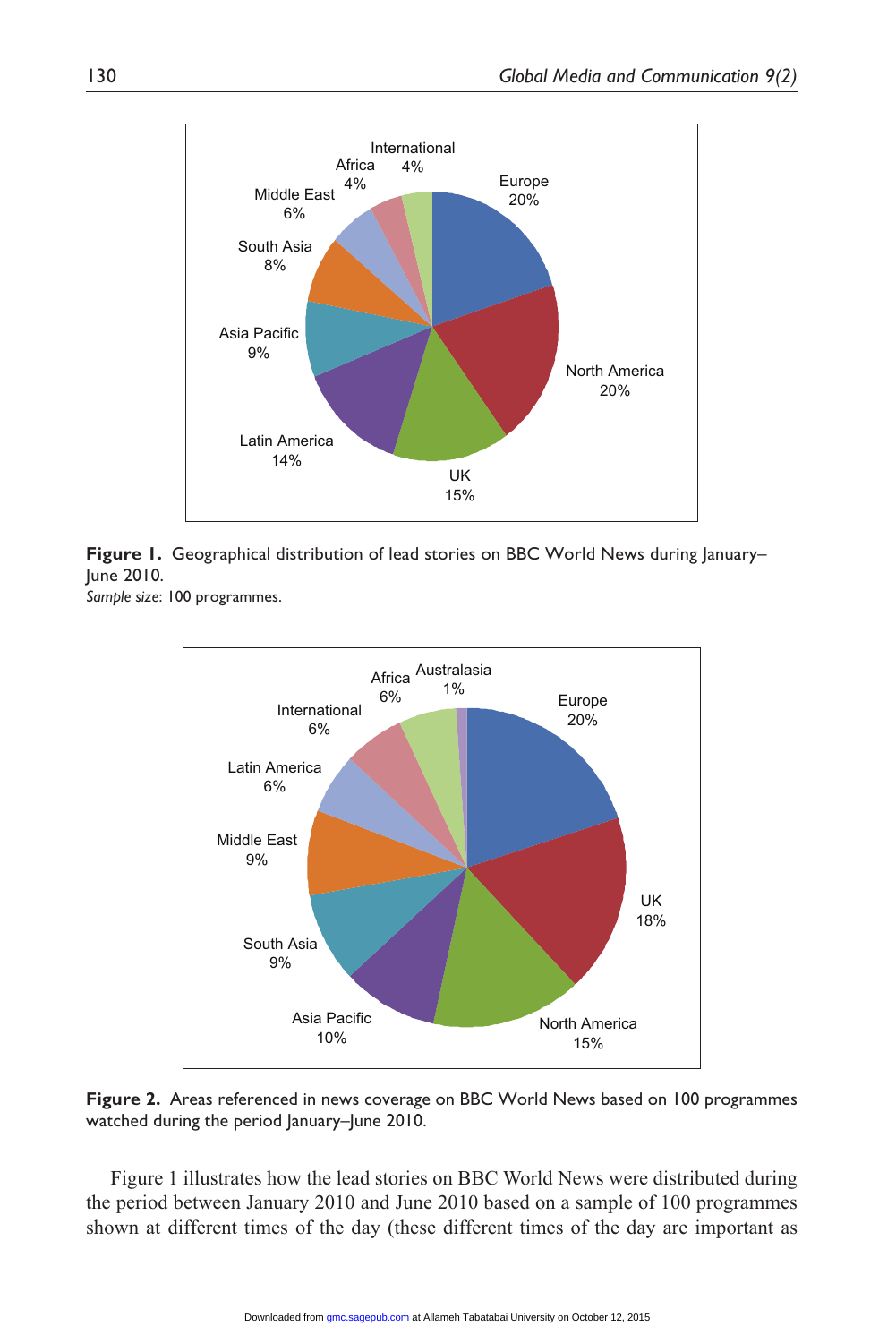



*Sample size*: 100 programmes.





Figure 1 illustrates how the lead stories on BBC World News were distributed during the period between January 2010 and June 2010 based on a sample of 100 programmes shown at different times of the day (these different times of the day are important as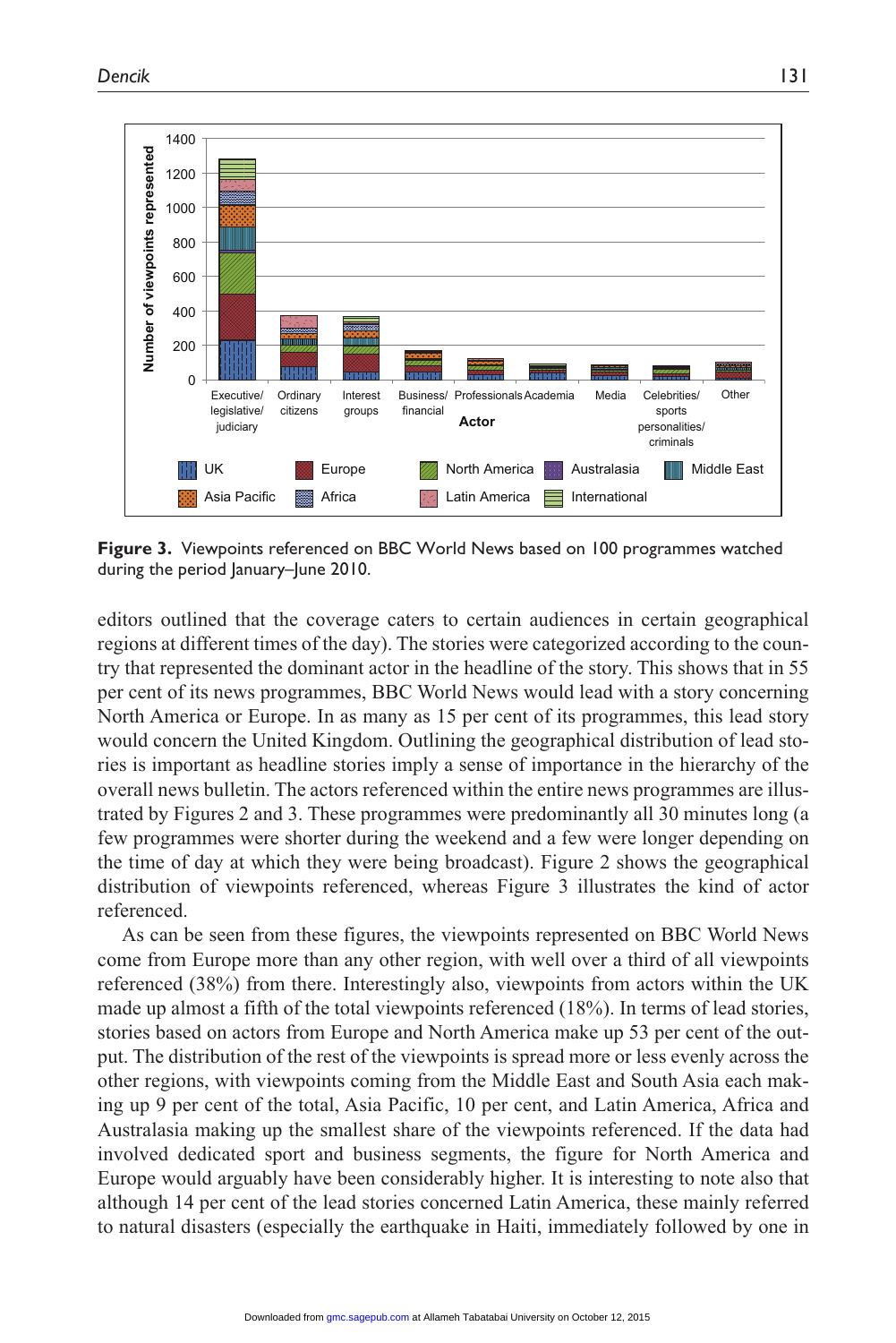

**Figure 3.** Viewpoints referenced on BBC World News based on 100 programmes watched during the period January–June 2010.

editors outlined that the coverage caters to certain audiences in certain geographical regions at different times of the day). The stories were categorized according to the country that represented the dominant actor in the headline of the story. This shows that in 55 per cent of its news programmes, BBC World News would lead with a story concerning North America or Europe. In as many as 15 per cent of its programmes, this lead story would concern the United Kingdom. Outlining the geographical distribution of lead stories is important as headline stories imply a sense of importance in the hierarchy of the overall news bulletin. The actors referenced within the entire news programmes are illustrated by Figures 2 and 3. These programmes were predominantly all 30 minutes long (a few programmes were shorter during the weekend and a few were longer depending on the time of day at which they were being broadcast). Figure 2 shows the geographical distribution of viewpoints referenced, whereas Figure 3 illustrates the kind of actor referenced.

As can be seen from these figures, the viewpoints represented on BBC World News come from Europe more than any other region, with well over a third of all viewpoints referenced (38%) from there. Interestingly also, viewpoints from actors within the UK made up almost a fifth of the total viewpoints referenced (18%). In terms of lead stories, stories based on actors from Europe and North America make up 53 per cent of the output. The distribution of the rest of the viewpoints is spread more or less evenly across the other regions, with viewpoints coming from the Middle East and South Asia each making up 9 per cent of the total, Asia Pacific, 10 per cent, and Latin America, Africa and Australasia making up the smallest share of the viewpoints referenced. If the data had involved dedicated sport and business segments, the figure for North America and Europe would arguably have been considerably higher. It is interesting to note also that although 14 per cent of the lead stories concerned Latin America, these mainly referred to natural disasters (especially the earthquake in Haiti, immediately followed by one in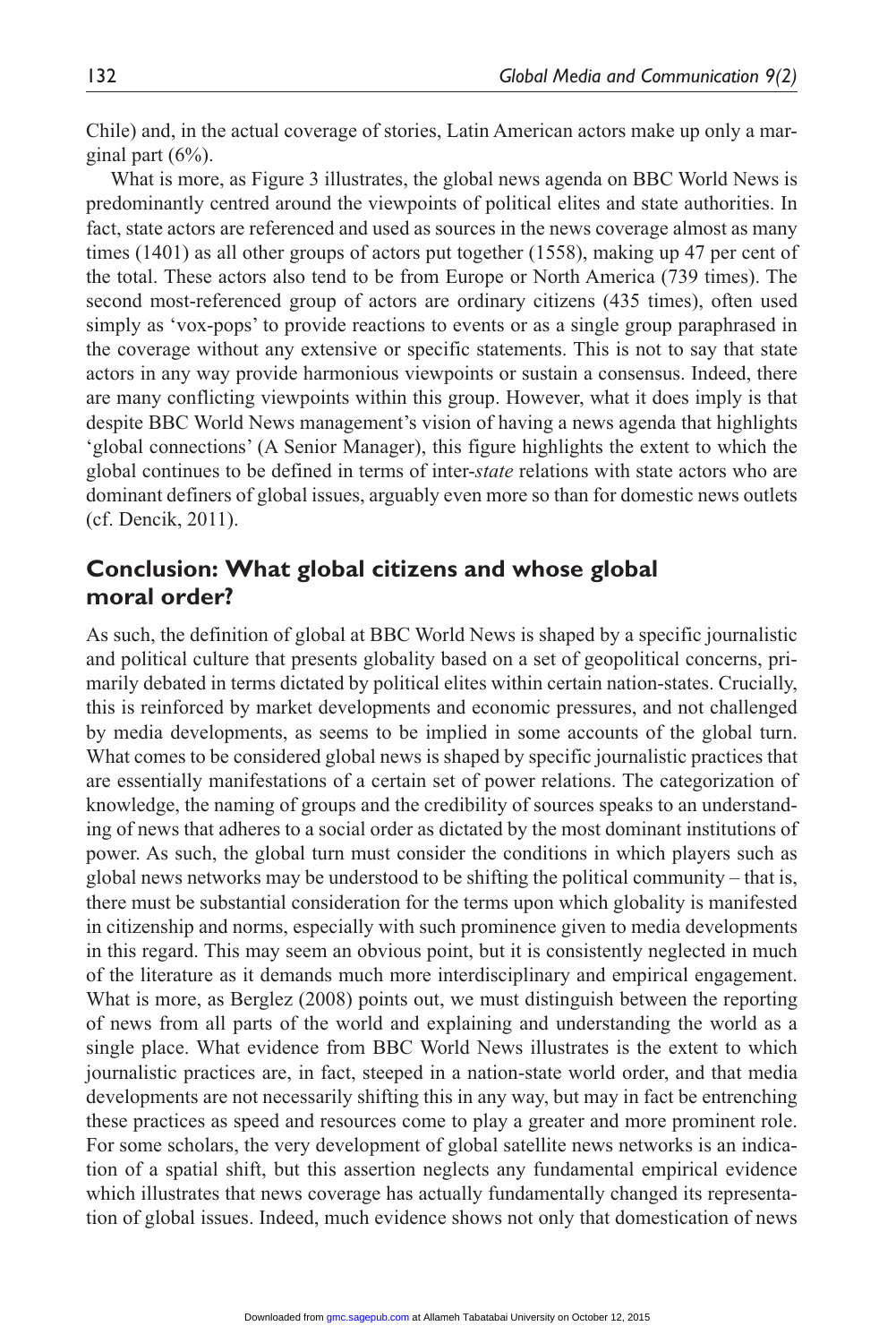Chile) and, in the actual coverage of stories, Latin American actors make up only a marginal part  $(6\%)$ .

What is more, as Figure 3 illustrates, the global news agenda on BBC World News is predominantly centred around the viewpoints of political elites and state authorities. In fact, state actors are referenced and used as sources in the news coverage almost as many times (1401) as all other groups of actors put together (1558), making up 47 per cent of the total. These actors also tend to be from Europe or North America (739 times). The second most-referenced group of actors are ordinary citizens (435 times), often used simply as 'vox-pops' to provide reactions to events or as a single group paraphrased in the coverage without any extensive or specific statements. This is not to say that state actors in any way provide harmonious viewpoints or sustain a consensus. Indeed, there are many conflicting viewpoints within this group. However, what it does imply is that despite BBC World News management's vision of having a news agenda that highlights 'global connections' (A Senior Manager), this figure highlights the extent to which the global continues to be defined in terms of inter-*state* relations with state actors who are dominant definers of global issues, arguably even more so than for domestic news outlets (cf. Dencik, 2011).

## **Conclusion: What global citizens and whose global moral order?**

As such, the definition of global at BBC World News is shaped by a specific journalistic and political culture that presents globality based on a set of geopolitical concerns, primarily debated in terms dictated by political elites within certain nation-states. Crucially, this is reinforced by market developments and economic pressures, and not challenged by media developments, as seems to be implied in some accounts of the global turn. What comes to be considered global news is shaped by specific journalistic practices that are essentially manifestations of a certain set of power relations. The categorization of knowledge, the naming of groups and the credibility of sources speaks to an understanding of news that adheres to a social order as dictated by the most dominant institutions of power. As such, the global turn must consider the conditions in which players such as global news networks may be understood to be shifting the political community – that is, there must be substantial consideration for the terms upon which globality is manifested in citizenship and norms, especially with such prominence given to media developments in this regard. This may seem an obvious point, but it is consistently neglected in much of the literature as it demands much more interdisciplinary and empirical engagement. What is more, as Berglez (2008) points out, we must distinguish between the reporting of news from all parts of the world and explaining and understanding the world as a single place. What evidence from BBC World News illustrates is the extent to which journalistic practices are, in fact, steeped in a nation-state world order, and that media developments are not necessarily shifting this in any way, but may in fact be entrenching these practices as speed and resources come to play a greater and more prominent role. For some scholars, the very development of global satellite news networks is an indication of a spatial shift, but this assertion neglects any fundamental empirical evidence which illustrates that news coverage has actually fundamentally changed its representation of global issues. Indeed, much evidence shows not only that domestication of news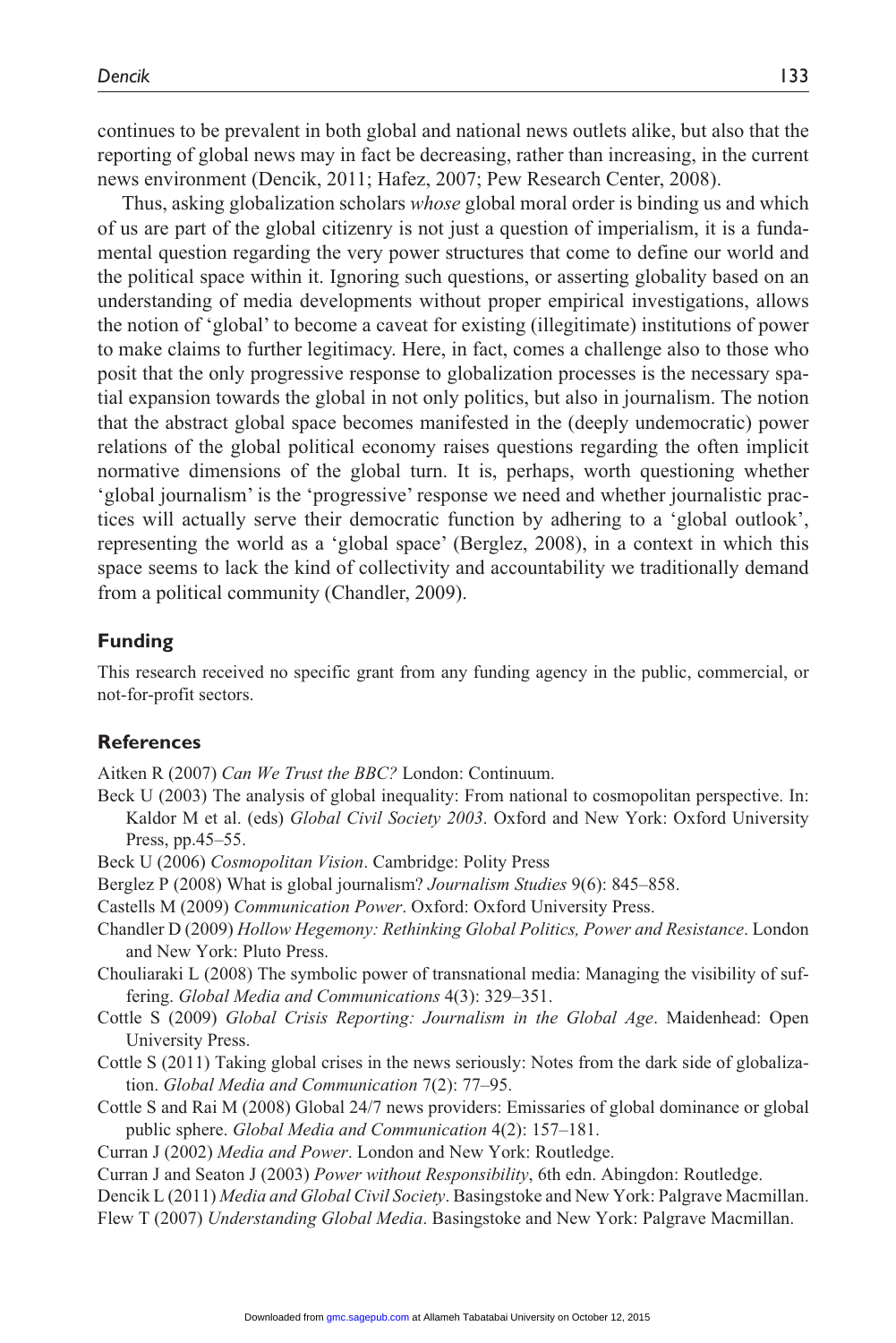continues to be prevalent in both global and national news outlets alike, but also that the reporting of global news may in fact be decreasing, rather than increasing, in the current news environment (Dencik, 2011; Hafez, 2007; Pew Research Center, 2008).

Thus, asking globalization scholars *whose* global moral order is binding us and which of us are part of the global citizenry is not just a question of imperialism, it is a fundamental question regarding the very power structures that come to define our world and the political space within it. Ignoring such questions, or asserting globality based on an understanding of media developments without proper empirical investigations, allows the notion of 'global' to become a caveat for existing (illegitimate) institutions of power to make claims to further legitimacy. Here, in fact, comes a challenge also to those who posit that the only progressive response to globalization processes is the necessary spatial expansion towards the global in not only politics, but also in journalism. The notion that the abstract global space becomes manifested in the (deeply undemocratic) power relations of the global political economy raises questions regarding the often implicit normative dimensions of the global turn. It is, perhaps, worth questioning whether 'global journalism' is the 'progressive' response we need and whether journalistic practices will actually serve their democratic function by adhering to a 'global outlook', representing the world as a 'global space' (Berglez, 2008), in a context in which this space seems to lack the kind of collectivity and accountability we traditionally demand from a political community (Chandler, 2009).

#### **Funding**

This research received no specific grant from any funding agency in the public, commercial, or not-for-profit sectors.

#### **References**

Aitken R (2007) *Can We Trust the BBC?* London: Continuum.

- Beck U (2003) The analysis of global inequality: From national to cosmopolitan perspective. In: Kaldor M et al. (eds) *Global Civil Society 2003*. Oxford and New York: Oxford University Press, pp.45–55.
- Beck U (2006) *Cosmopolitan Vision*. Cambridge: Polity Press
- Berglez P (2008) What is global journalism? *Journalism Studies* 9(6): 845–858.
- Castells M (2009) *Communication Power*. Oxford: Oxford University Press.
- Chandler D (2009) *Hollow Hegemony: Rethinking Global Politics, Power and Resistance*. London and New York: Pluto Press.
- Chouliaraki L (2008) The symbolic power of transnational media: Managing the visibility of suffering. *Global Media and Communications* 4(3): 329–351.
- Cottle S (2009) *Global Crisis Reporting: Journalism in the Global Age*. Maidenhead: Open University Press.
- Cottle S (2011) Taking global crises in the news seriously: Notes from the dark side of globalization. *Global Media and Communication* 7(2): 77–95.
- Cottle S and Rai M (2008) Global 24/7 news providers: Emissaries of global dominance or global public sphere. *Global Media and Communication* 4(2): 157–181.
- Curran J (2002) *Media and Power*. London and New York: Routledge.
- Curran J and Seaton J (2003) *Power without Responsibility*, 6th edn. Abingdon: Routledge.
- Dencik L (2011) *Media and Global Civil Society*. Basingstoke and New York: Palgrave Macmillan.
- Flew T (2007) *Understanding Global Media*. Basingstoke and New York: Palgrave Macmillan.